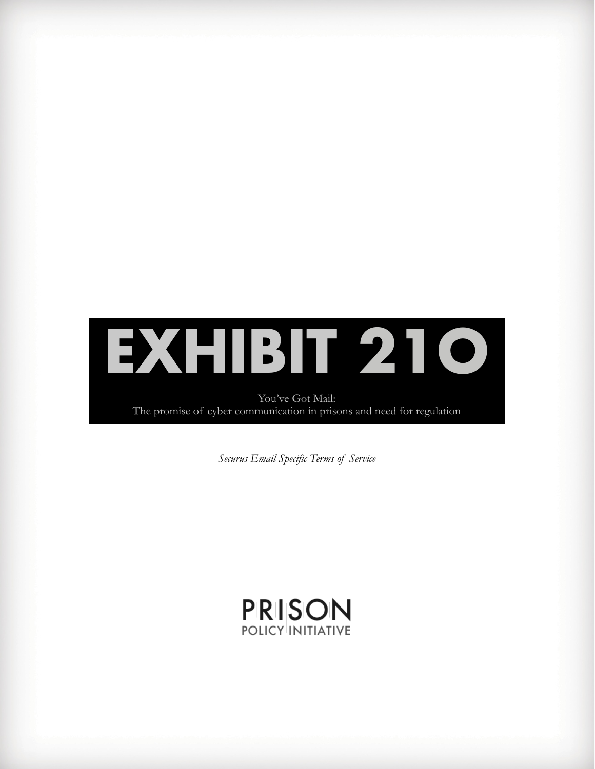

You've Got Mail: The promise of cyber communication in prisons and need for regulation

*Securus Email Specific Terms of Service*

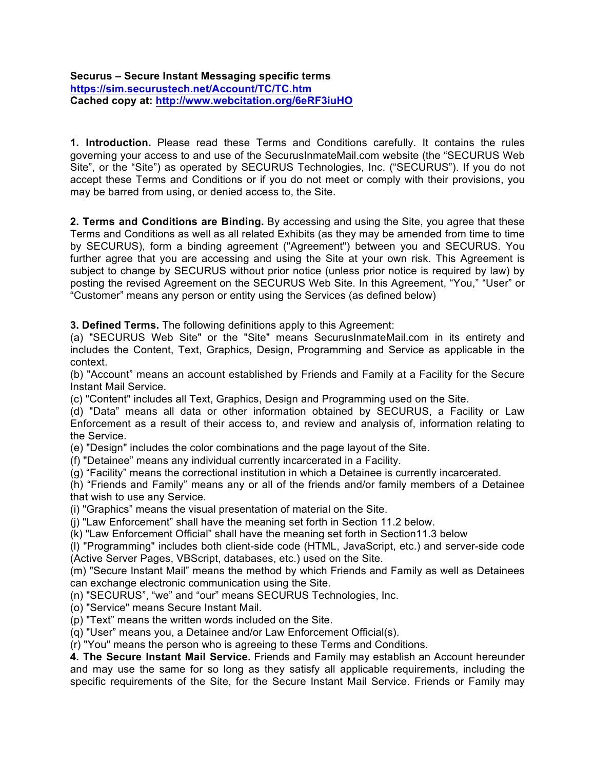**Securus – Secure Instant Messaging specific terms https://sim.securustech.net/Account/TC/TC.htm Cached copy at: http://www.webcitation.org/6eRF3iuHO**

**1. Introduction.** Please read these Terms and Conditions carefully. It contains the rules governing your access to and use of the SecurusInmateMail.com website (the "SECURUS Web Site", or the "Site") as operated by SECURUS Technologies, Inc. ("SECURUS"). If you do not accept these Terms and Conditions or if you do not meet or comply with their provisions, you may be barred from using, or denied access to, the Site.

**2. Terms and Conditions are Binding.** By accessing and using the Site, you agree that these Terms and Conditions as well as all related Exhibits (as they may be amended from time to time by SECURUS), form a binding agreement ("Agreement") between you and SECURUS. You further agree that you are accessing and using the Site at your own risk. This Agreement is subject to change by SECURUS without prior notice (unless prior notice is required by law) by posting the revised Agreement on the SECURUS Web Site. In this Agreement, "You," "User" or "Customer" means any person or entity using the Services (as defined below)

**3. Defined Terms.** The following definitions apply to this Agreement:

(a) "SECURUS Web Site" or the "Site" means SecurusInmateMail.com in its entirety and includes the Content, Text, Graphics, Design, Programming and Service as applicable in the context.

(b) "Account" means an account established by Friends and Family at a Facility for the Secure Instant Mail Service.

(c) "Content" includes all Text, Graphics, Design and Programming used on the Site.

(d) "Data" means all data or other information obtained by SECURUS, a Facility or Law Enforcement as a result of their access to, and review and analysis of, information relating to the Service.

(e) "Design" includes the color combinations and the page layout of the Site.

(f) "Detainee" means any individual currently incarcerated in a Facility.

(g) "Facility" means the correctional institution in which a Detainee is currently incarcerated.

(h) "Friends and Family" means any or all of the friends and/or family members of a Detainee that wish to use any Service.

(i) "Graphics" means the visual presentation of material on the Site.

(j) "Law Enforcement" shall have the meaning set forth in Section 11.2 below.

(k) "Law Enforcement Official" shall have the meaning set forth in Section11.3 below

(l) "Programming" includes both client-side code (HTML, JavaScript, etc.) and server-side code (Active Server Pages, VBScript, databases, etc.) used on the Site.

(m) "Secure Instant Mail" means the method by which Friends and Family as well as Detainees can exchange electronic communication using the Site.

(n) "SECURUS", "we" and "our" means SECURUS Technologies, Inc.

(o) "Service" means Secure Instant Mail.

(p) "Text" means the written words included on the Site.

(q) "User" means you, a Detainee and/or Law Enforcement Official(s).

(r) "You" means the person who is agreeing to these Terms and Conditions.

**4. The Secure Instant Mail Service.** Friends and Family may establish an Account hereunder and may use the same for so long as they satisfy all applicable requirements, including the specific requirements of the Site, for the Secure Instant Mail Service. Friends or Family may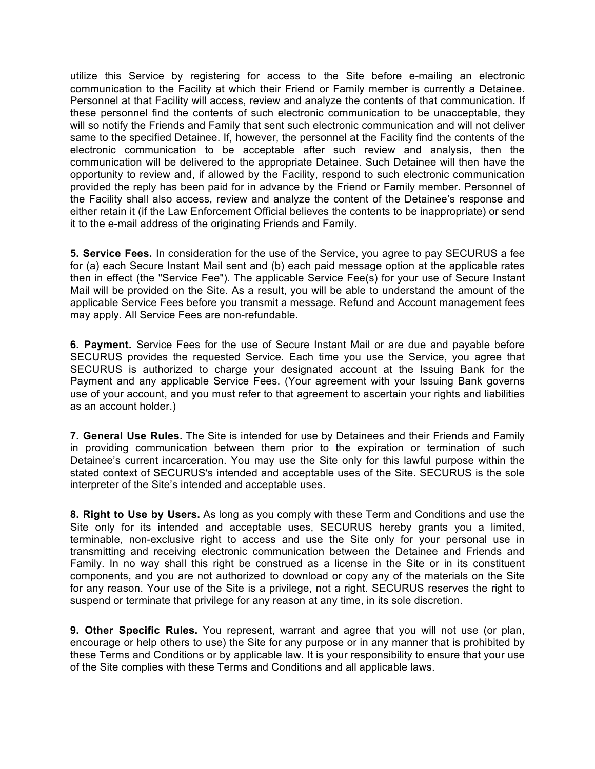utilize this Service by registering for access to the Site before e-mailing an electronic communication to the Facility at which their Friend or Family member is currently a Detainee. Personnel at that Facility will access, review and analyze the contents of that communication. If these personnel find the contents of such electronic communication to be unacceptable, they will so notify the Friends and Family that sent such electronic communication and will not deliver same to the specified Detainee. If, however, the personnel at the Facility find the contents of the electronic communication to be acceptable after such review and analysis, then the communication will be delivered to the appropriate Detainee. Such Detainee will then have the opportunity to review and, if allowed by the Facility, respond to such electronic communication provided the reply has been paid for in advance by the Friend or Family member. Personnel of the Facility shall also access, review and analyze the content of the Detainee's response and either retain it (if the Law Enforcement Official believes the contents to be inappropriate) or send it to the e-mail address of the originating Friends and Family.

**5. Service Fees.** In consideration for the use of the Service, you agree to pay SECURUS a fee for (a) each Secure Instant Mail sent and (b) each paid message option at the applicable rates then in effect (the "Service Fee"). The applicable Service Fee(s) for your use of Secure Instant Mail will be provided on the Site. As a result, you will be able to understand the amount of the applicable Service Fees before you transmit a message. Refund and Account management fees may apply. All Service Fees are non-refundable.

**6. Payment.** Service Fees for the use of Secure Instant Mail or are due and payable before SECURUS provides the requested Service. Each time you use the Service, you agree that SECURUS is authorized to charge your designated account at the Issuing Bank for the Payment and any applicable Service Fees. (Your agreement with your Issuing Bank governs use of your account, and you must refer to that agreement to ascertain your rights and liabilities as an account holder.)

**7. General Use Rules.** The Site is intended for use by Detainees and their Friends and Family in providing communication between them prior to the expiration or termination of such Detainee's current incarceration. You may use the Site only for this lawful purpose within the stated context of SECURUS's intended and acceptable uses of the Site. SECURUS is the sole interpreter of the Site's intended and acceptable uses.

**8. Right to Use by Users.** As long as you comply with these Term and Conditions and use the Site only for its intended and acceptable uses, SECURUS hereby grants you a limited, terminable, non-exclusive right to access and use the Site only for your personal use in transmitting and receiving electronic communication between the Detainee and Friends and Family. In no way shall this right be construed as a license in the Site or in its constituent components, and you are not authorized to download or copy any of the materials on the Site for any reason. Your use of the Site is a privilege, not a right. SECURUS reserves the right to suspend or terminate that privilege for any reason at any time, in its sole discretion.

**9. Other Specific Rules.** You represent, warrant and agree that you will not use (or plan, encourage or help others to use) the Site for any purpose or in any manner that is prohibited by these Terms and Conditions or by applicable law. It is your responsibility to ensure that your use of the Site complies with these Terms and Conditions and all applicable laws.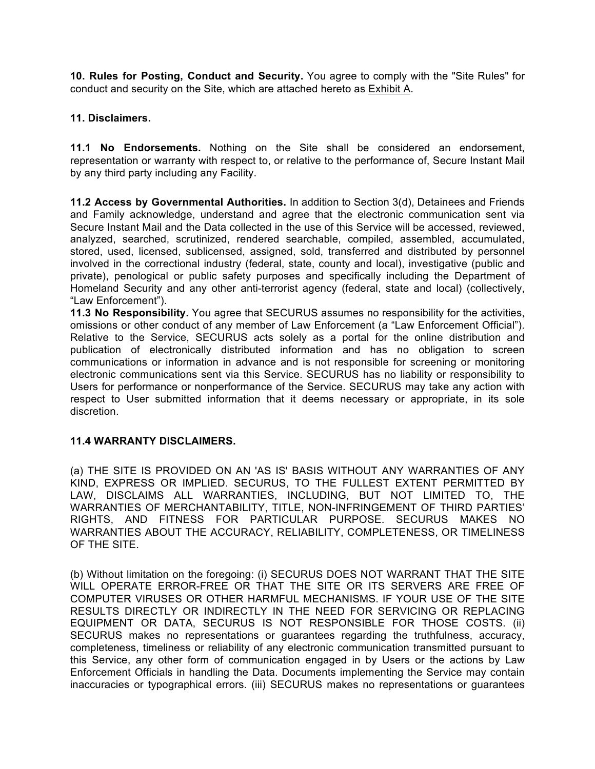**10. Rules for Posting, Conduct and Security.** You agree to comply with the "Site Rules" for conduct and security on the Site, which are attached hereto as Exhibit A.

# **11. Disclaimers.**

**11.1 No Endorsements.** Nothing on the Site shall be considered an endorsement, representation or warranty with respect to, or relative to the performance of, Secure Instant Mail by any third party including any Facility.

**11.2 Access by Governmental Authorities.** In addition to Section 3(d), Detainees and Friends and Family acknowledge, understand and agree that the electronic communication sent via Secure Instant Mail and the Data collected in the use of this Service will be accessed, reviewed, analyzed, searched, scrutinized, rendered searchable, compiled, assembled, accumulated, stored, used, licensed, sublicensed, assigned, sold, transferred and distributed by personnel involved in the correctional industry (federal, state, county and local), investigative (public and private), penological or public safety purposes and specifically including the Department of Homeland Security and any other anti-terrorist agency (federal, state and local) (collectively, "Law Enforcement").

**11.3 No Responsibility.** You agree that SECURUS assumes no responsibility for the activities, omissions or other conduct of any member of Law Enforcement (a "Law Enforcement Official"). Relative to the Service, SECURUS acts solely as a portal for the online distribution and publication of electronically distributed information and has no obligation to screen communications or information in advance and is not responsible for screening or monitoring electronic communications sent via this Service. SECURUS has no liability or responsibility to Users for performance or nonperformance of the Service. SECURUS may take any action with respect to User submitted information that it deems necessary or appropriate, in its sole discretion.

# **11.4 WARRANTY DISCLAIMERS.**

(a) THE SITE IS PROVIDED ON AN 'AS IS' BASIS WITHOUT ANY WARRANTIES OF ANY KIND, EXPRESS OR IMPLIED. SECURUS, TO THE FULLEST EXTENT PERMITTED BY LAW, DISCLAIMS ALL WARRANTIES, INCLUDING, BUT NOT LIMITED TO, THE WARRANTIES OF MERCHANTABILITY, TITLE, NON-INFRINGEMENT OF THIRD PARTIES' RIGHTS, AND FITNESS FOR PARTICULAR PURPOSE. SECURUS MAKES NO WARRANTIES ABOUT THE ACCURACY, RELIABILITY, COMPLETENESS, OR TIMELINESS OF THE SITE.

(b) Without limitation on the foregoing: (i) SECURUS DOES NOT WARRANT THAT THE SITE WILL OPERATE ERROR-FREE OR THAT THE SITE OR ITS SERVERS ARE FREE OF COMPUTER VIRUSES OR OTHER HARMFUL MECHANISMS. IF YOUR USE OF THE SITE RESULTS DIRECTLY OR INDIRECTLY IN THE NEED FOR SERVICING OR REPLACING EQUIPMENT OR DATA, SECURUS IS NOT RESPONSIBLE FOR THOSE COSTS. (ii) SECURUS makes no representations or guarantees regarding the truthfulness, accuracy, completeness, timeliness or reliability of any electronic communication transmitted pursuant to this Service, any other form of communication engaged in by Users or the actions by Law Enforcement Officials in handling the Data. Documents implementing the Service may contain inaccuracies or typographical errors. (iii) SECURUS makes no representations or guarantees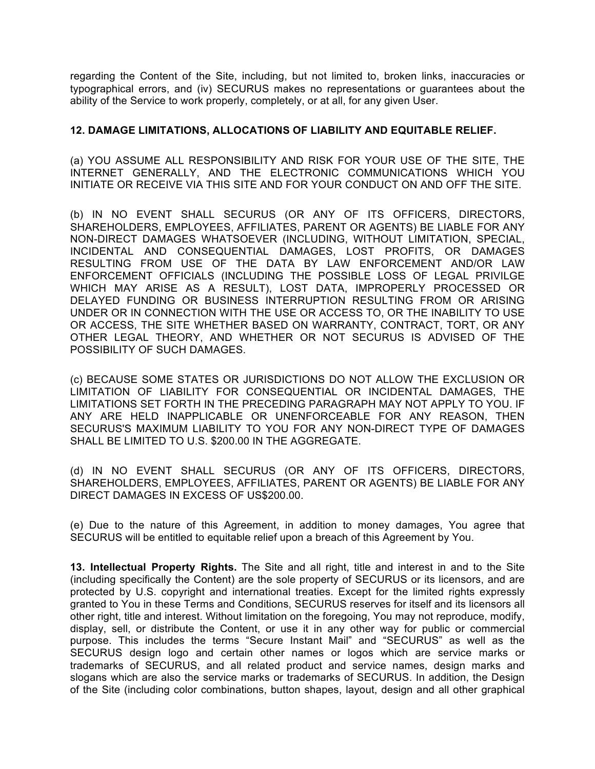regarding the Content of the Site, including, but not limited to, broken links, inaccuracies or typographical errors, and (iv) SECURUS makes no representations or guarantees about the ability of the Service to work properly, completely, or at all, for any given User.

## **12. DAMAGE LIMITATIONS, ALLOCATIONS OF LIABILITY AND EQUITABLE RELIEF.**

(a) YOU ASSUME ALL RESPONSIBILITY AND RISK FOR YOUR USE OF THE SITE, THE INTERNET GENERALLY, AND THE ELECTRONIC COMMUNICATIONS WHICH YOU INITIATE OR RECEIVE VIA THIS SITE AND FOR YOUR CONDUCT ON AND OFF THE SITE.

(b) IN NO EVENT SHALL SECURUS (OR ANY OF ITS OFFICERS, DIRECTORS, SHAREHOLDERS, EMPLOYEES, AFFILIATES, PARENT OR AGENTS) BE LIABLE FOR ANY NON-DIRECT DAMAGES WHATSOEVER (INCLUDING, WITHOUT LIMITATION, SPECIAL, INCIDENTAL AND CONSEQUENTIAL DAMAGES, LOST PROFITS, OR DAMAGES RESULTING FROM USE OF THE DATA BY LAW ENFORCEMENT AND/OR LAW ENFORCEMENT OFFICIALS (INCLUDING THE POSSIBLE LOSS OF LEGAL PRIVILGE WHICH MAY ARISE AS A RESULT), LOST DATA, IMPROPERLY PROCESSED OR DELAYED FUNDING OR BUSINESS INTERRUPTION RESULTING FROM OR ARISING UNDER OR IN CONNECTION WITH THE USE OR ACCESS TO, OR THE INABILITY TO USE OR ACCESS, THE SITE WHETHER BASED ON WARRANTY, CONTRACT, TORT, OR ANY OTHER LEGAL THEORY, AND WHETHER OR NOT SECURUS IS ADVISED OF THE POSSIBILITY OF SUCH DAMAGES.

(c) BECAUSE SOME STATES OR JURISDICTIONS DO NOT ALLOW THE EXCLUSION OR LIMITATION OF LIABILITY FOR CONSEQUENTIAL OR INCIDENTAL DAMAGES, THE LIMITATIONS SET FORTH IN THE PRECEDING PARAGRAPH MAY NOT APPLY TO YOU. IF ANY ARE HELD INAPPLICABLE OR UNENFORCEABLE FOR ANY REASON, THEN SECURUS'S MAXIMUM LIABILITY TO YOU FOR ANY NON-DIRECT TYPE OF DAMAGES SHALL BE LIMITED TO U.S. \$200.00 IN THE AGGREGATE.

(d) IN NO EVENT SHALL SECURUS (OR ANY OF ITS OFFICERS, DIRECTORS, SHAREHOLDERS, EMPLOYEES, AFFILIATES, PARENT OR AGENTS) BE LIABLE FOR ANY DIRECT DAMAGES IN EXCESS OF US\$200.00.

(e) Due to the nature of this Agreement, in addition to money damages, You agree that SECURUS will be entitled to equitable relief upon a breach of this Agreement by You.

**13. Intellectual Property Rights.** The Site and all right, title and interest in and to the Site (including specifically the Content) are the sole property of SECURUS or its licensors, and are protected by U.S. copyright and international treaties. Except for the limited rights expressly granted to You in these Terms and Conditions, SECURUS reserves for itself and its licensors all other right, title and interest. Without limitation on the foregoing, You may not reproduce, modify, display, sell, or distribute the Content, or use it in any other way for public or commercial purpose. This includes the terms "Secure Instant Mail" and "SECURUS" as well as the SECURUS design logo and certain other names or logos which are service marks or trademarks of SECURUS, and all related product and service names, design marks and slogans which are also the service marks or trademarks of SECURUS. In addition, the Design of the Site (including color combinations, button shapes, layout, design and all other graphical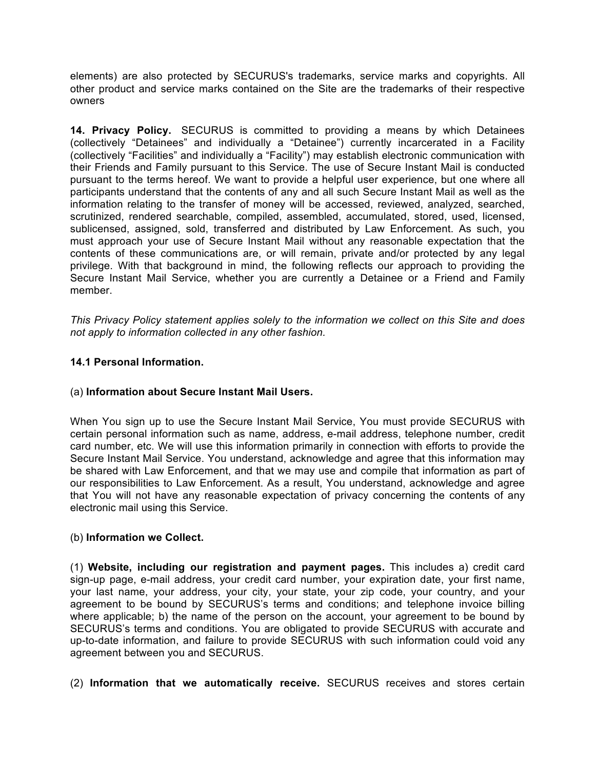elements) are also protected by SECURUS's trademarks, service marks and copyrights. All other product and service marks contained on the Site are the trademarks of their respective owners

**14. Privacy Policy.** SECURUS is committed to providing a means by which Detainees (collectively "Detainees" and individually a "Detainee") currently incarcerated in a Facility (collectively "Facilities" and individually a "Facility") may establish electronic communication with their Friends and Family pursuant to this Service. The use of Secure Instant Mail is conducted pursuant to the terms hereof. We want to provide a helpful user experience, but one where all participants understand that the contents of any and all such Secure Instant Mail as well as the information relating to the transfer of money will be accessed, reviewed, analyzed, searched, scrutinized, rendered searchable, compiled, assembled, accumulated, stored, used, licensed, sublicensed, assigned, sold, transferred and distributed by Law Enforcement. As such, you must approach your use of Secure Instant Mail without any reasonable expectation that the contents of these communications are, or will remain, private and/or protected by any legal privilege. With that background in mind, the following reflects our approach to providing the Secure Instant Mail Service, whether you are currently a Detainee or a Friend and Family member.

*This Privacy Policy statement applies solely to the information we collect on this Site and does not apply to information collected in any other fashion.*

# **14.1 Personal Information.**

#### (a) **Information about Secure Instant Mail Users.**

When You sign up to use the Secure Instant Mail Service, You must provide SECURUS with certain personal information such as name, address, e-mail address, telephone number, credit card number, etc. We will use this information primarily in connection with efforts to provide the Secure Instant Mail Service. You understand, acknowledge and agree that this information may be shared with Law Enforcement, and that we may use and compile that information as part of our responsibilities to Law Enforcement. As a result, You understand, acknowledge and agree that You will not have any reasonable expectation of privacy concerning the contents of any electronic mail using this Service.

#### (b) **Information we Collect.**

(1) **Website, including our registration and payment pages.** This includes a) credit card sign-up page, e-mail address, your credit card number, your expiration date, your first name, your last name, your address, your city, your state, your zip code, your country, and your agreement to be bound by SECURUS's terms and conditions; and telephone invoice billing where applicable; b) the name of the person on the account, your agreement to be bound by SECURUS's terms and conditions. You are obligated to provide SECURUS with accurate and up-to-date information, and failure to provide SECURUS with such information could void any agreement between you and SECURUS.

(2) **Information that we automatically receive.** SECURUS receives and stores certain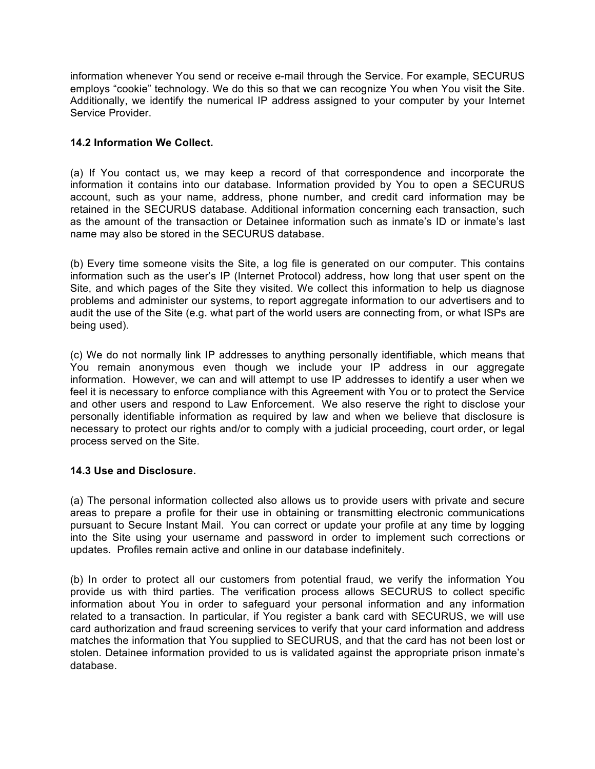information whenever You send or receive e-mail through the Service. For example, SECURUS employs "cookie" technology. We do this so that we can recognize You when You visit the Site. Additionally, we identify the numerical IP address assigned to your computer by your Internet Service Provider.

# **14.2 Information We Collect.**

(a) If You contact us, we may keep a record of that correspondence and incorporate the information it contains into our database. Information provided by You to open a SECURUS account, such as your name, address, phone number, and credit card information may be retained in the SECURUS database. Additional information concerning each transaction, such as the amount of the transaction or Detainee information such as inmate's ID or inmate's last name may also be stored in the SECURUS database.

(b) Every time someone visits the Site, a log file is generated on our computer. This contains information such as the user's IP (Internet Protocol) address, how long that user spent on the Site, and which pages of the Site they visited. We collect this information to help us diagnose problems and administer our systems, to report aggregate information to our advertisers and to audit the use of the Site (e.g. what part of the world users are connecting from, or what ISPs are being used).

(c) We do not normally link IP addresses to anything personally identifiable, which means that You remain anonymous even though we include your IP address in our aggregate information. However, we can and will attempt to use IP addresses to identify a user when we feel it is necessary to enforce compliance with this Agreement with You or to protect the Service and other users and respond to Law Enforcement. We also reserve the right to disclose your personally identifiable information as required by law and when we believe that disclosure is necessary to protect our rights and/or to comply with a judicial proceeding, court order, or legal process served on the Site.

# **14.3 Use and Disclosure.**

(a) The personal information collected also allows us to provide users with private and secure areas to prepare a profile for their use in obtaining or transmitting electronic communications pursuant to Secure Instant Mail. You can correct or update your profile at any time by logging into the Site using your username and password in order to implement such corrections or updates. Profiles remain active and online in our database indefinitely.

(b) In order to protect all our customers from potential fraud, we verify the information You provide us with third parties. The verification process allows SECURUS to collect specific information about You in order to safeguard your personal information and any information related to a transaction. In particular, if You register a bank card with SECURUS, we will use card authorization and fraud screening services to verify that your card information and address matches the information that You supplied to SECURUS, and that the card has not been lost or stolen. Detainee information provided to us is validated against the appropriate prison inmate's database.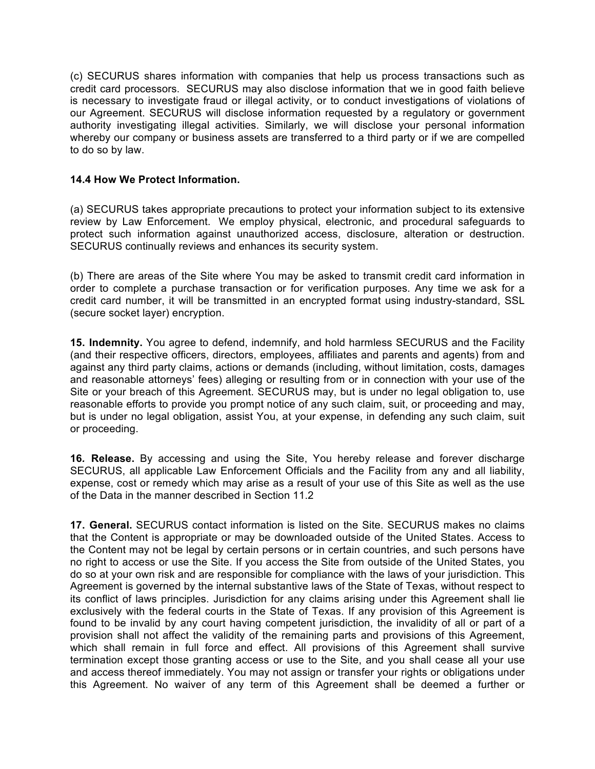(c) SECURUS shares information with companies that help us process transactions such as credit card processors. SECURUS may also disclose information that we in good faith believe is necessary to investigate fraud or illegal activity, or to conduct investigations of violations of our Agreement. SECURUS will disclose information requested by a regulatory or government authority investigating illegal activities. Similarly, we will disclose your personal information whereby our company or business assets are transferred to a third party or if we are compelled to do so by law.

## **14.4 How We Protect Information.**

(a) SECURUS takes appropriate precautions to protect your information subject to its extensive review by Law Enforcement. We employ physical, electronic, and procedural safeguards to protect such information against unauthorized access, disclosure, alteration or destruction. SECURUS continually reviews and enhances its security system.

(b) There are areas of the Site where You may be asked to transmit credit card information in order to complete a purchase transaction or for verification purposes. Any time we ask for a credit card number, it will be transmitted in an encrypted format using industry-standard, SSL (secure socket layer) encryption.

**15. Indemnity.** You agree to defend, indemnify, and hold harmless SECURUS and the Facility (and their respective officers, directors, employees, affiliates and parents and agents) from and against any third party claims, actions or demands (including, without limitation, costs, damages and reasonable attorneys' fees) alleging or resulting from or in connection with your use of the Site or your breach of this Agreement. SECURUS may, but is under no legal obligation to, use reasonable efforts to provide you prompt notice of any such claim, suit, or proceeding and may, but is under no legal obligation, assist You, at your expense, in defending any such claim, suit or proceeding.

**16***.* **Release.** By accessing and using the Site, You hereby release and forever discharge SECURUS, all applicable Law Enforcement Officials and the Facility from any and all liability, expense, cost or remedy which may arise as a result of your use of this Site as well as the use of the Data in the manner described in Section 11.2

**17. General.** SECURUS contact information is listed on the Site. SECURUS makes no claims that the Content is appropriate or may be downloaded outside of the United States. Access to the Content may not be legal by certain persons or in certain countries, and such persons have no right to access or use the Site. If you access the Site from outside of the United States, you do so at your own risk and are responsible for compliance with the laws of your jurisdiction. This Agreement is governed by the internal substantive laws of the State of Texas, without respect to its conflict of laws principles. Jurisdiction for any claims arising under this Agreement shall lie exclusively with the federal courts in the State of Texas. If any provision of this Agreement is found to be invalid by any court having competent jurisdiction, the invalidity of all or part of a provision shall not affect the validity of the remaining parts and provisions of this Agreement, which shall remain in full force and effect. All provisions of this Agreement shall survive termination except those granting access or use to the Site, and you shall cease all your use and access thereof immediately. You may not assign or transfer your rights or obligations under this Agreement. No waiver of any term of this Agreement shall be deemed a further or